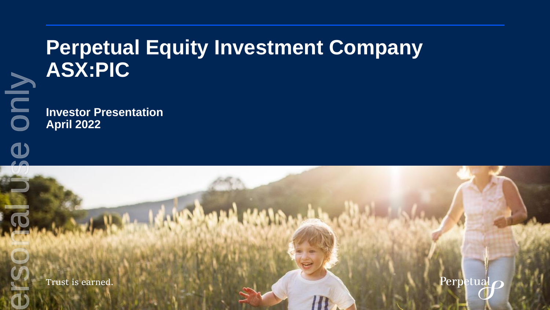## **Perpetual Equity Investment Company ASX:PIC**

**Investor Presentation April 2022** Trust is earned.

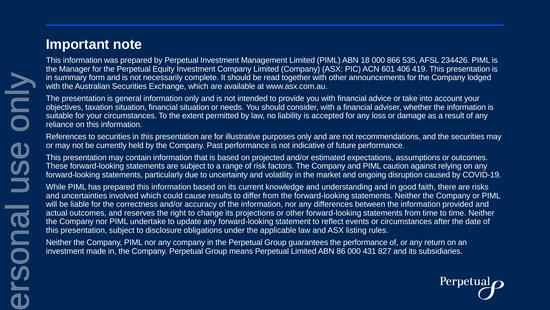### **Important note**

This information was prepared by Perpetual Investment Management Limited (PIML) ABN 18 000 866 535, AFSL 234426. PIML is the Manager for the Perpetual Equity Investment Company Limited (Company) (ASX: PIC) ACN 601 406 419. This presentation is in summary form and is not necessarily complete. It should be read together with other announcements for the Company lodged with the Australian Securities Exchange, which are available at www.asx.com.au.

The presentation is general information only and is not intended to provide you with financial advice or take into account your objectives, taxation situation, financial situation or needs. You should consider, with a financial adviser, whether the information is suitable for your circumstances. To the extent permitted by law, no liability is accepted for any loss or damage as a result of any reliance on this information.

References to securities in this presentation are for illustrative purposes only and are not recommendations, and the securities may or may not be currently held by the Company. Past performance is not indicative of future performance.

This presentation may contain information that is based on projected and/or estimated expectations, assumptions or outcomes. These forward-looking statements are subject to a range of risk factors. The Company and PIML caution against relying on any forward-looking statements, particularly due to uncertainty and volatility in the market and ongoing disruption caused by COVID-19.

While PIML has prepared this information based on its current knowledge and understanding and in good faith, there are risks and uncertainties involved which could cause results to differ from the forward-looking statements. Neither the Company or PIML will be liable for the correctness and/or accuracy of the information, nor any differences between the information provided and actual outcomes, and reserves the right to change its projections or other forward-looking statements from time to time. Neither the Company nor PIML undertake to update any forward-looking statement to reflect events or circumstances after the date of this presentation, subject to disclosure obligations under the applicable law and ASX listing rules.

Neither the Company, PIML nor any company in the Perpetual Group guarantees the performance of, or any return on an investment made in, the Company. Perpetual Group means Perpetual Limited ABN 86 000 431 827 and its subsidiaries.

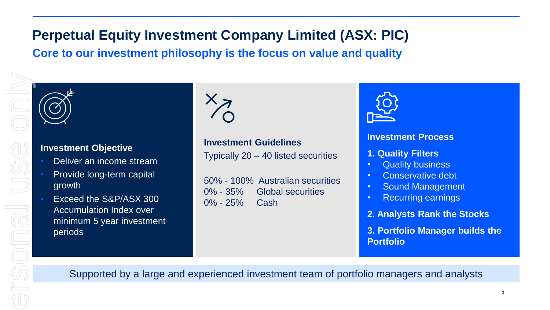## **Perpetual Equity Investment Company Limited (ASX: PIC) Core to our investment philosophy is the focus on value and quality**

ersonal use only

#### **Investment Objective**

- Deliver an income stream
- Provide long-term capital growth
- Exceed the S&P/ASX 300 Accumulation Index over minimum 5 year investment periods

# $\lesssim$

**Investment Guidelines** Typically 20 – 40 listed securities

50% - 100% Australian securities 0% - 35% Global securities 0% - 25% Cash



#### **Investment Process**

- **1. Quality Filters**
- **Quality business**
- Conservative debt
- Sound Management
- Recurring earnings
- **2. Analysts Rank the Stocks**

**3. Portfolio Manager builds the Portfolio** 

Supported by a large and experienced investment team of portfolio managers and analysts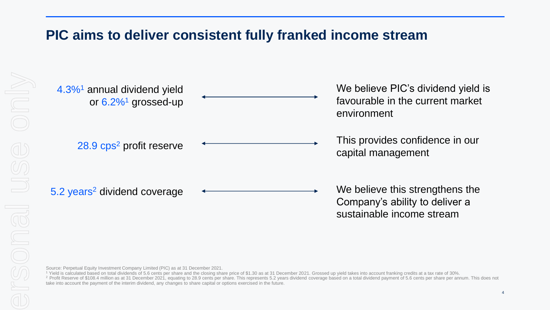### **PIC aims to deliver consistent fully franked income stream**

| 4.3% <sup>1</sup> annual dividend yield<br>or $6.2\%$ <sup>1</sup> grossed-up | We believe PIC's dividend yield is<br>favourable in the current market<br>environment          |
|-------------------------------------------------------------------------------|------------------------------------------------------------------------------------------------|
| 28.9 cps <sup>2</sup> profit reserve                                          | This provides confidence in our<br>capital management                                          |
| 5.2 years <sup>2</sup> dividend coverage                                      | We believe this strengthens the<br>Company's ability to deliver a<br>sustainable income stream |

Source: Perpetual Equity Investment Company Limited (PIC) as at 31 December 2021.

<sup>1</sup> Yield is calculated based on total dividends of 5.6 cents per share and the closing share price of \$1.30 as at 31 December 2021. Grossed up yield takes into account franking credits at a tax rate of 30%. <sup>2</sup> Profit Reserve of \$108.4 million as at 31 December 2021, equating to 28.9 cents per share. This represents 5.2 years dividend coverage based on a total dividend payment of 5.6 cents per share per annum. This does not take into account the payment of the interim dividend, any changes to share capital or options exercised in the future.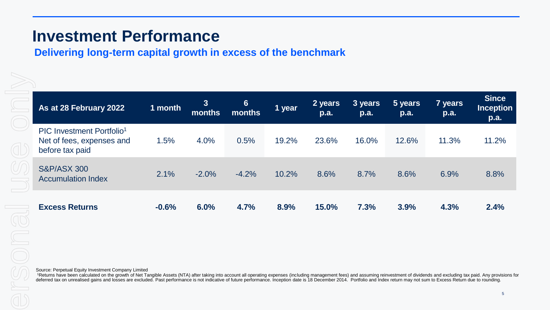## **Investment Performance**

#### **Delivering long-term capital growth in excess of the benchmark**

| As at 28 February 2022                                                                | 1 month | $\mathbf{3}$<br>months | $6\phantom{1}$<br>months | 1 year | 2 years<br>p.a. | 3 years<br>p.a. | 5 years<br>p.a. | 7 years<br><b>p.a.</b> | <b>Since</b><br><b>Inception</b><br>p.a. |
|---------------------------------------------------------------------------------------|---------|------------------------|--------------------------|--------|-----------------|-----------------|-----------------|------------------------|------------------------------------------|
| PIC Investment Portfolio <sup>1</sup><br>Net of fees, expenses and<br>before tax paid | 1.5%    | 4.0%                   | 0.5%                     | 19.2%  | 23.6%           | 16.0%           | 12.6%           | 11.3%                  | 11.2%                                    |
| <b>S&amp;P/ASX 300</b><br><b>Accumulation Index</b>                                   | 2.1%    | $-2.0%$                | $-4.2%$                  | 10.2%  | 8.6%            | 8.7%            | 8.6%            | 6.9%                   | 8.8%                                     |
| <b>Excess Returns</b>                                                                 | $-0.6%$ | 6.0%                   | 4.7%                     | 8.9%   | 15.0%           | 7.3%            | 3.9%            | 4.3%                   | 2.4%                                     |

Source: Perpetual Equity Investment Company Limited

<sup>1</sup>Returns have been calculated on the growth of Net Tangible Assets (NTA) after taking into account all operating expenses (including management fees) and assuming reinvestment of dividends and excluding tax paid. Any pro deferred tax on unrealised gains and losses are excluded. Past performance is not indicative of future performance. Inception date is 18 December 2014. Portfolio and Index return may not sum to Excess Return due to rounding.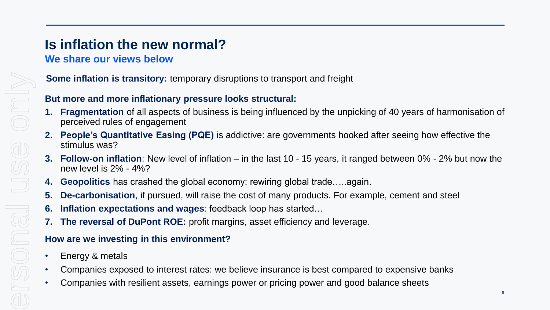## **Is inflation the new normal?**

#### **We share our views below**

#### **Some inflation is transitory:** temporary disruptions to transport and freight

#### **But more and more inflationary pressure looks structural:**

- **1. Fragmentation** of all aspects of business is being influenced by the unpicking of 40 years of harmonisation of perceived rules of engagement
- **2. People's Quantitative Easing (PQE)** is addictive: are governments hooked after seeing how effective the stimulus was?
- **3. Follow-on inflation**: New level of inflation in the last 10 15 years, it ranged between 0% 2% but now the new level is 2% - 4%?
- **4. Geopolitics** has crashed the global economy: rewiring global trade…..again.
- **5. De-carbonisation**, if pursued, will raise the cost of many products. For example, cement and steel
- **6. Inflation expectations and wages**: feedback loop has started…
- **7. The reversal of DuPont ROE:** profit margins, asset efficiency and leverage.

#### **How are we investing in this environment?**

- Energy & metals
- Companies exposed to interest rates: we believe insurance is best compared to expensive banks
- Companies with resilient assets, earnings power or pricing power and good balance sheets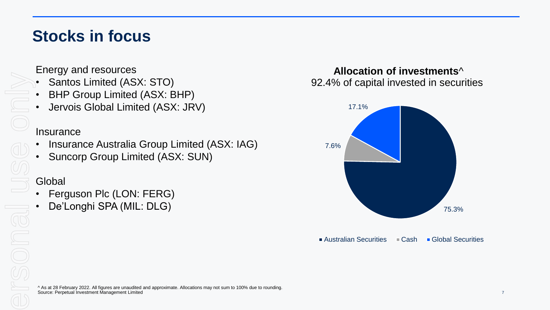## **Stocks in focus**

Energy and resources

- Santos Limited (ASX: STO)
- BHP Group Limited (ASX: BHP)
- Jervois Global Limited (ASX: JRV)

#### **Insurance**

- Insurance Australia Group Limited (ASX: IAG)
- Suncorp Group Limited (ASX: SUN)

#### Global

- Ferguson Plc (LON: FERG)
	- De'Longhi SPA (MIL: DLG)

#### **Allocation of investments**^ 92.4% of capital invested in securities



■ Australian Securities ■ Cash ■ Global Securities

^ As at 28 February 2022. All figures are unaudited and approximate. Allocations may not sum to 100% due to rounding. Source: Perpetual Investment Management Limited 7